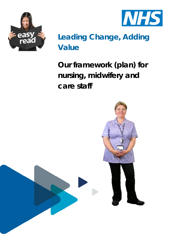



# **Leading Change, Adding Value**

**Our framework (plan) for nursing, midwifery and care staff**

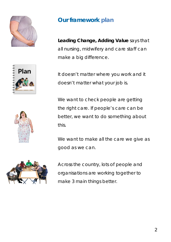







### **Our framework plan**

**Leading Change, Adding Value** says that all nursing, midwifery and care staff can make a big difference.

It doesn't matter where you work and it doesn't matter what your job is.

We want to check people are getting the right care. If people's care can be better, we want to do something about this.

We want to make all the care we give as good as we can.

Across the country, lots of people and organisations are working together to make 3 main things better.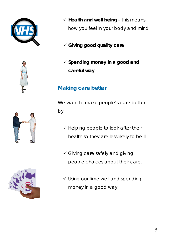







- $\checkmark$  Health and well being this means how you feel in your body and mind
- **Giving good quality care**
- **Spending money in a good and careful way**

#### **Making care better**

We want to make people's care better by

- $\checkmark$  Helping people to look after their health so they are less likely to be ill.
- Giving care safely and giving people choices about their care.
- Using our time well and spending money in a good way.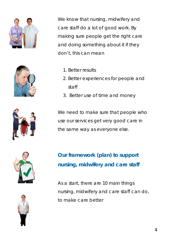





- 1. Better results
- 2. Better experiences for people and staff
- 3. Better use of time and money



We need to make sure that people who use our services get very good care in the same way as everyone else.





**Our framework (plan) to support nursing, midwifery and care staff**

As a start, there are 10 main things nursing, midwifery and care staff can do, to make care better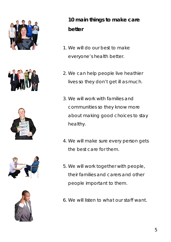









## **10 main things to make care better**

- 1. We will do our best to make everyone's health better.
- 2. We can help people live heathier lives so they don't get ill as much.
- 3. We will work with families and communities so they know more about making good choices to stay healthy.
- 4. We will make sure every person gets the best care for them.
- 5. We will work together with people, their families and carers and other people important to them.
- 6. We will listen to what our staff want.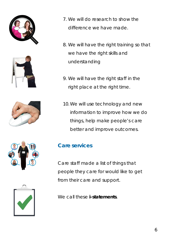









- 7. We will do research to show the difference we have made.
- 8. We will have the right training so that we have the right skills and understanding
- 9. We will have the right staff in the right place at the right time.
- 10.We will use technology and new information to improve how we do things, help make people's care better and improve outcomes.

#### **Care services**

Care staff made a list of things that people they care for would like to get from their care and support.

We call these **i-statements**.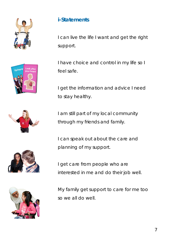









#### **i-Statements**

I can live the life I want and get the right support.

I have choice and control in my life so I feel safe.

I get the information and advice I need to stay healthy.

I am still part of my local community through my friends and family.

I can speak out about the care and planning of my support.

I get care from people who are interested in me and do their job well.

My family get support to care for me too so we all do well.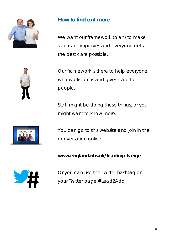

#### **How to find out more**

We want our framework (plan) to make sure care improves and everyone gets the best care possible.



Our framework is there to help everyone who works for us and gives care to people.

Staff might be doing these things, or you might want to know more.



You can go to this website and join in the conversation online

**www.england.nhs.uk/leadingchange**



Or you can use the Twitter hashtag on your Twitter page #Lead2Add